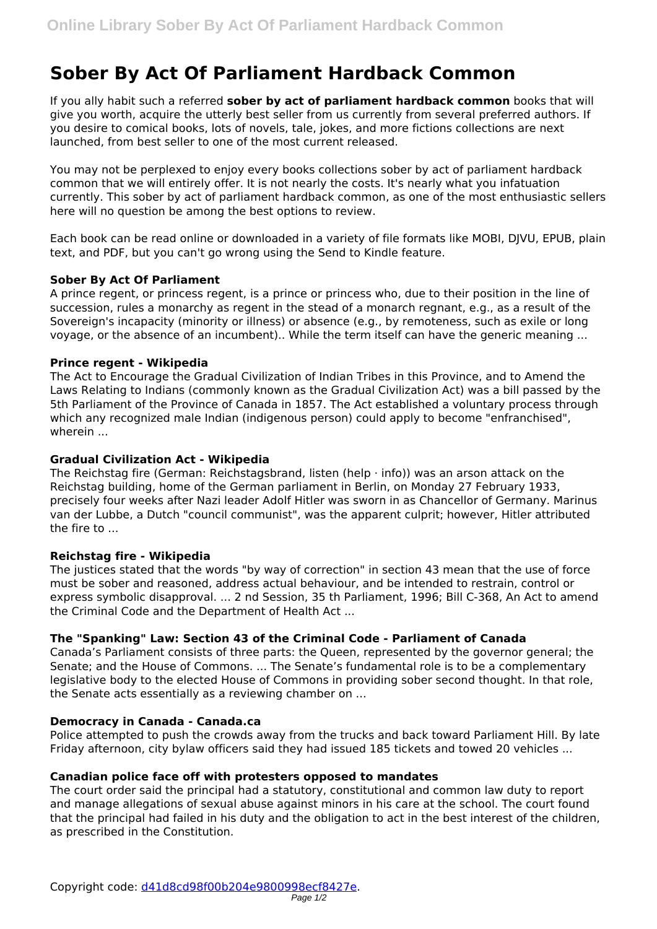# **Sober By Act Of Parliament Hardback Common**

If you ally habit such a referred **sober by act of parliament hardback common** books that will give you worth, acquire the utterly best seller from us currently from several preferred authors. If you desire to comical books, lots of novels, tale, jokes, and more fictions collections are next launched, from best seller to one of the most current released.

You may not be perplexed to enjoy every books collections sober by act of parliament hardback common that we will entirely offer. It is not nearly the costs. It's nearly what you infatuation currently. This sober by act of parliament hardback common, as one of the most enthusiastic sellers here will no question be among the best options to review.

Each book can be read online or downloaded in a variety of file formats like MOBI, DJVU, EPUB, plain text, and PDF, but you can't go wrong using the Send to Kindle feature.

## **Sober By Act Of Parliament**

A prince regent, or princess regent, is a prince or princess who, due to their position in the line of succession, rules a monarchy as regent in the stead of a monarch regnant, e.g., as a result of the Sovereign's incapacity (minority or illness) or absence (e.g., by remoteness, such as exile or long voyage, or the absence of an incumbent).. While the term itself can have the generic meaning ...

## **Prince regent - Wikipedia**

The Act to Encourage the Gradual Civilization of Indian Tribes in this Province, and to Amend the Laws Relating to Indians (commonly known as the Gradual Civilization Act) was a bill passed by the 5th Parliament of the Province of Canada in 1857. The Act established a voluntary process through which any recognized male Indian (indigenous person) could apply to become "enfranchised", wherein ...

## **Gradual Civilization Act - Wikipedia**

The Reichstag fire (German: Reichstagsbrand, listen (help  $\cdot$  info)) was an arson attack on the Reichstag building, home of the German parliament in Berlin, on Monday 27 February 1933, precisely four weeks after Nazi leader Adolf Hitler was sworn in as Chancellor of Germany. Marinus van der Lubbe, a Dutch "council communist", was the apparent culprit; however, Hitler attributed the fire to  $\overline{\phantom{a}}$ 

## **Reichstag fire - Wikipedia**

The justices stated that the words "by way of correction" in section 43 mean that the use of force must be sober and reasoned, address actual behaviour, and be intended to restrain, control or express symbolic disapproval. ... 2 nd Session, 35 th Parliament, 1996; Bill C-368, An Act to amend the Criminal Code and the Department of Health Act ...

## **The "Spanking" Law: Section 43 of the Criminal Code - Parliament of Canada**

Canada's Parliament consists of three parts: the Queen, represented by the governor general; the Senate; and the House of Commons. ... The Senate's fundamental role is to be a complementary legislative body to the elected House of Commons in providing sober second thought. In that role, the Senate acts essentially as a reviewing chamber on ...

## **Democracy in Canada - Canada.ca**

Police attempted to push the crowds away from the trucks and back toward Parliament Hill. By late Friday afternoon, city bylaw officers said they had issued 185 tickets and towed 20 vehicles ...

### **Canadian police face off with protesters opposed to mandates**

The court order said the principal had a statutory, constitutional and common law duty to report and manage allegations of sexual abuse against minors in his care at the school. The court found that the principal had failed in his duty and the obligation to act in the best interest of the children, as prescribed in the Constitution.